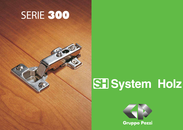## SERIE 300



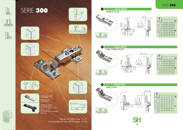

Basi per serie 300 da pag. 71 a 75 Mounting plates for series 300 from page 71 to 75

BRACCIO **COLLO BASSO**  $\bullet$ OVERLAY DOOR B  $\ddot{\sigma}$ K  $\circ$ H  $C=18$ 









Copertura in metallo Art. 06AI089----1 Metal cover cap Art. 06AI089----1

Copertura in plastica Art. 2NY22 solo per cerniere ad aggancio rapido Plastic cover cap Art. 2NY22 for fast assembling hinge only

|                  | Ξ  | $\sqrt{2}$ |
|------------------|----|------------|
|                  | J. |            |
| $\varnothing$ 35 |    |            |
|                  |    |            |





## SERIE 300



T











**SH** 



| B                        |                |    |       |    |    |    |   |
|--------------------------|----------------|----|-------|----|----|----|---|
|                          |                | 3  | 4     | 5  | 6  | 7  | н |
|                          | $\overline{2}$ |    | 19 20 | 21 | 22 | 23 |   |
| 3                        |                | 18 | 19    | 20 | 21 | 22 |   |
| $\overline{\mathcal{A}}$ | 4              | 17 | 18    | 19 | 20 | 21 |   |
| $\overline{6}$           | 6              | 15 | 16    | 17 | 18 | 19 |   |
| 8                        | 8              | 13 | 14    | 15 | 16 | 17 | K |
|                          | 10             |    | 12    | 13 | 14 | 15 |   |
|                          |                |    | 8     | Ç  | (  |    |   |

| В                        |                |                          |     |    |    |                     |   |
|--------------------------|----------------|--------------------------|-----|----|----|---------------------|---|
|                          | Ω              | 3                        | 4   | 5  | 6  | 7                   | H |
|                          | $\overline{2}$ | 10                       |     | 12 | 13 | $\overline{4}$<br>1 |   |
| 3                        |                | 9                        | 10  |    | 12 | 13                  |   |
| $\overline{\mathcal{A}}$ | 4              | 8                        | 9   | 10 |    | 12                  |   |
| $\ddot{\circ}$           | 6              | 6                        | 7   | 8  | 9  | 10                  |   |
| 8                        | 8              | $\overline{\mathcal{A}}$ | 5   | 6  | 7  | 8                   | K |
|                          | 10             | $\overline{2}$           | 3   | 4  | 5  | 6                   |   |
|                          | 14             | $-2$                     | - 1 | Ω  | 1  | $\overline{2}$      |   |
|                          |                |                          |     |    |    |                     |   |

|                 | 3              | 4            | $\sqrt{5}$     | $\acute{\mathrm{o}}$ | $\overline{7}$ | 8 | H |
|-----------------|----------------|--------------|----------------|----------------------|----------------|---|---|
| $\overline{2}$  |                |              |                |                      |                |   |   |
|                 |                |              |                |                      |                |   |   |
| 4               |                |              |                |                      |                |   |   |
| $\ddot{\circ}$  | $\overline{2}$ |              |                |                      |                |   |   |
| 8               | $\overline{A}$ | 3            | $\overline{2}$ |                      |                |   | F |
| 10              |                |              | $\overline{A}$ | 3                    | $\overline{2}$ |   |   |
| $\overline{14}$ |                |              |                |                      |                |   |   |
|                 | B              | $\mathbf{P}$ |                |                      |                |   |   |

± 2